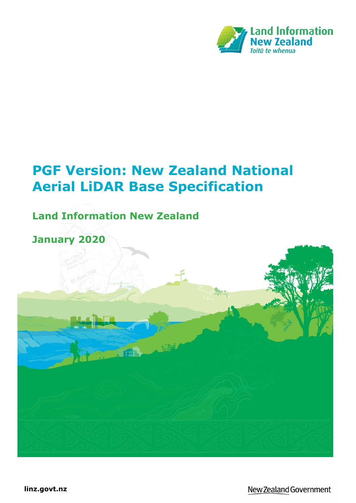

# **PGF Version: New Zealand National Aerial LiDAR Base Specification**

# **Land Information New Zealand**

# **January 2020**

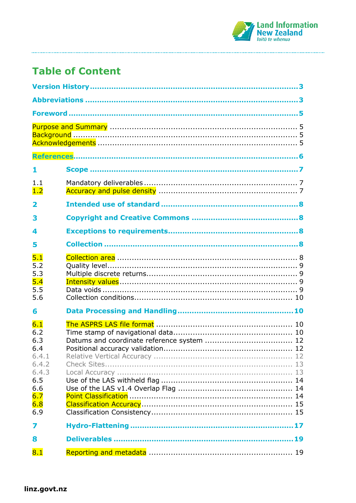

# **Table of Content**

| 1                                                                                      |  |  |
|----------------------------------------------------------------------------------------|--|--|
| 1.1<br>1.2                                                                             |  |  |
| 2                                                                                      |  |  |
| 3                                                                                      |  |  |
| 4                                                                                      |  |  |
| 5                                                                                      |  |  |
| 5.1<br>5.2<br>5.3<br>5.4<br>5.5<br>5.6                                                 |  |  |
| 6                                                                                      |  |  |
| 6.1<br>6.2<br>6.3<br>6.4<br>6.4.1<br>6.4.2<br>6.4.3<br>6.5<br>6.6<br>6.7<br>6.8<br>6.9 |  |  |
| 7                                                                                      |  |  |
| 8                                                                                      |  |  |
| 8.1                                                                                    |  |  |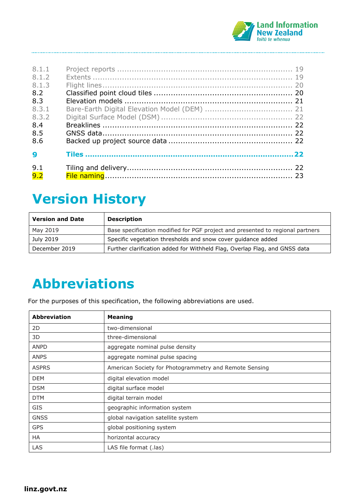

| 8.1.1<br>8.1.2<br>8.1.3<br>8.2<br>8.3<br>8.3.1<br>8.3.2<br>8.4 |  |
|----------------------------------------------------------------|--|
| 8.5                                                            |  |
| 8.6                                                            |  |
| q                                                              |  |
| 9.1<br>9.2                                                     |  |

# <span id="page-2-0"></span>**Version History**

| <b>Version and Date</b> | <b>Description</b>                                                             |
|-------------------------|--------------------------------------------------------------------------------|
| May 2019                | Base specification modified for PGF project and presented to regional partners |
| July 2019               | Specific vegetation thresholds and snow cover guidance added                   |
| December 2019           | Further clarification added for Withheld Flag, Overlap Flag, and GNSS data     |

# <span id="page-2-1"></span>**Abbreviations**

For the purposes of this specification, the following abbreviations are used.

| <b>Abbreviation</b> | <b>Meaning</b>                                         |
|---------------------|--------------------------------------------------------|
| 2D                  | two-dimensional                                        |
| 3D                  | three-dimensional                                      |
| <b>ANPD</b>         | aggregate nominal pulse density                        |
| <b>ANPS</b>         | aggregate nominal pulse spacing                        |
| <b>ASPRS</b>        | American Society for Photogrammetry and Remote Sensing |
| <b>DEM</b>          | digital elevation model                                |
| <b>DSM</b>          | digital surface model                                  |
| <b>DTM</b>          | digital terrain model                                  |
| <b>GIS</b>          | geographic information system                          |
| <b>GNSS</b>         | global navigation satellite system                     |
| <b>GPS</b>          | global positioning system                              |
| <b>HA</b>           | horizontal accuracy                                    |
| LAS                 | LAS file format (.las)                                 |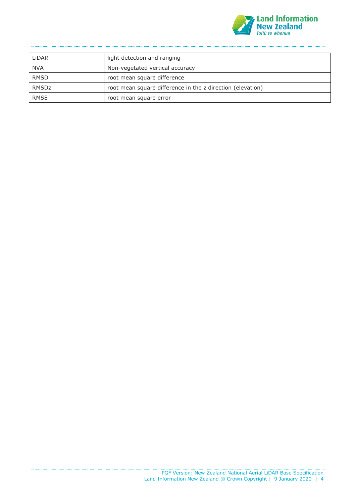

| LiDAR       | light detection and ranging                                |
|-------------|------------------------------------------------------------|
| <b>NVA</b>  | Non-vegetated vertical accuracy                            |
| <b>RMSD</b> | root mean square difference                                |
| RMSDz       | root mean square difference in the z direction (elevation) |
| <b>RMSE</b> | root mean square error                                     |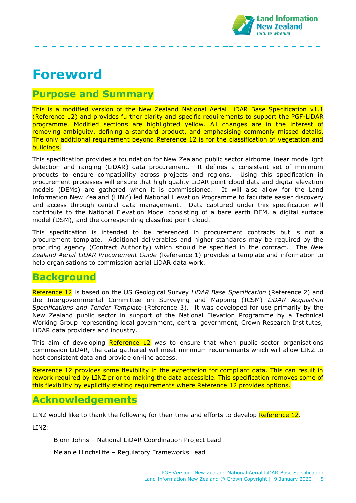

# <span id="page-4-0"></span>**Foreword**

### <span id="page-4-1"></span>**Purpose and Summary**

This is a modified version of the New Zealand National Aerial LiDAR Base Specification v1.1 (Reference 12) and provides further clarity and specific requirements to support the PGF-LiDAR programme. Modified sections are highlighted yellow. All changes are in the interest of removing ambiguity, defining a standard product, and emphasising commonly missed details. The only additional requirement beyond Reference 12 is for the classification of vegetation and buildings.

This specification provides a foundation for New Zealand public sector airborne linear mode light detection and ranging (LiDAR) data procurement. It defines a consistent set of minimum products to ensure compatibility across projects and regions. Using this specification in procurement processes will ensure that high quality LiDAR point cloud data and digital elevation models (DEMs) are gathered when it is commissioned. It will also allow for the Land Information New Zealand (LINZ) led National Elevation Programme to facilitate easier discovery and access through central data management. Data captured under this specification will contribute to the National Elevation Model consisting of a bare earth DEM, a digital surface model (DSM), and the corresponding classified point cloud.

This specification is intended to be referenced in procurement contracts but is not a procurement template. Additional deliverables and higher standards may be required by the procuring agency (Contract Authority) which should be specified in the contract. The *New Zealand Aerial LiDAR Procurement Guide* (Reference 1) provides a template and information to help organisations to commission aerial LiDAR data work.

### <span id="page-4-2"></span>**Background**

Reference 12 is based on the US Geological Survey *LiDAR Base Specification* (Reference 2) and the Intergovernmental Committee on Surveying and Mapping (ICSM) *LiDAR Acquisition Specifications and Tender Template* (Reference 3). It was developed for use primarily by the New Zealand public sector in support of the National Elevation Programme by a Technical Working Group representing local government, central government, Crown Research Institutes, LiDAR data providers and industry.

This aim of developing  $Reference$  12 was to ensure that when public sector organisations commission LiDAR, the data gathered will meet minimum requirements which will allow LINZ to host consistent data and provide on-line access.

Reference 12 provides some flexibility in the expectation for compliant data. This can result in rework required by LINZ prior to making the data accessible. This specification removes some of this flexibility by explicitly stating requirements where Reference 12 provides options.

### <span id="page-4-3"></span>**Acknowledgements**

LINZ would like to thank the following for their time and efforts to develop Reference 12.

LINZ:

Bjorn Johns – National LiDAR Coordination Project Lead

Melanie Hinchsliffe – Regulatory Frameworks Lead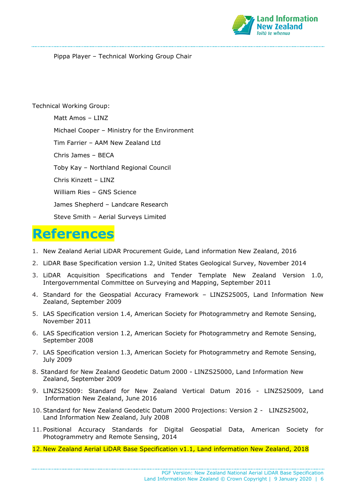

Pippa Player – Technical Working Group Chair

#### Technical Working Group:

Matt Amos – LINZ Michael Cooper – Ministry for the Environment Tim Farrier – AAM New Zealand Ltd Chris James – BECA Toby Kay – Northland Regional Council Chris Kinzett – LINZ William Ries – GNS Science James Shepherd – Landcare Research Steve Smith – Aerial Surveys Limited

# <span id="page-5-0"></span>**References**

- 1. New Zealand Aerial LiDAR Procurement Guide, Land information New Zealand, 2016
- 2. LiDAR Base Specification version 1.2, United States Geological Survey, November 2014
- 3. LiDAR Acquisition Specifications and Tender Template New Zealand Version 1.0, Intergovernmental Committee on Surveying and Mapping, September 2011
- 4. Standard for the Geospatial Accuracy Framework LINZS25005, Land Information New Zealand, September 2009
- 5. LAS Specification version 1.4, American Society for Photogrammetry and Remote Sensing, November 2011
- 6. LAS Specification version 1.2, American Society for Photogrammetry and Remote Sensing, September 2008
- 7. LAS Specification version 1.3, American Society for Photogrammetry and Remote Sensing, July 2009
- 8. Standard for New Zealand Geodetic Datum 2000 LINZS25000, Land Information New Zealand, September 2009
- 9. LINZS25009: Standard for New Zealand Vertical Datum 2016 LINZS25009, Land Information New Zealand, June 2016
- 10.Standard for New Zealand Geodetic Datum 2000 Projections: Version 2 LINZS25002, Land Information New Zealand, July 2008
- 11. Positional Accuracy Standards for Digital Geospatial Data, American Society for Photogrammetry and Remote Sensing, 2014
- 12. New Zealand Aerial LiDAR Base Specification v1.1, Land information New Zealand, 2018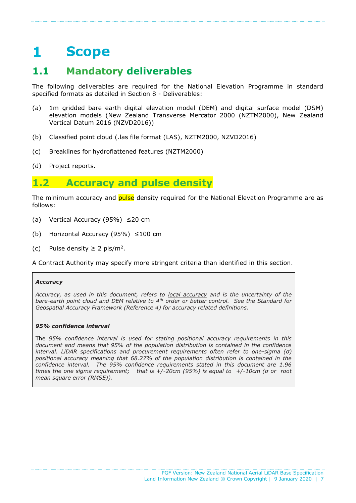### <span id="page-6-0"></span> $\mathbf{1}$ **Scope**

# <span id="page-6-1"></span>**1.1 Mandatory deliverables**

The following deliverables are required for the National Elevation Programme in standard specified formats as detailed in Section 8 - Deliverables:

- (a) 1m gridded bare earth digital elevation model (DEM) and digital surface model (DSM) elevation models (New Zealand Transverse Mercator 2000 (NZTM2000), New Zealand Vertical Datum 2016 (NZVD2016))
- (b) Classified point cloud (.las file format (LAS), NZTM2000, NZVD2016)
- (c) Breaklines for hydroflattened features (NZTM2000)
- (d) Project reports.

### <span id="page-6-2"></span>**1.2 Accuracy and pulse density**

The minimum accuracy and **pulse** density required for the National Elevation Programme are as follows:

- (a) Vertical Accuracy (95%) ≤20 cm
- (b) Horizontal Accuracy (95%) ≤100 cm
- (c) Pulse density  $\geq 2$  pls/m<sup>2</sup>.

A Contract Authority may specify more stringent criteria than identified in this section.

#### *Accuracy*

*Accuracy, as used in this document, refers to local accuracy and is the uncertainty of the bare-earth point cloud and DEM relative to 4th order or better control. See the Standard for Geospatial Accuracy Framework (Reference 4) for accuracy related definitions.*

#### *95% confidence interval*

The *95% confidence interval is used for stating positional accuracy requirements in this document and means that 95% of the population distribution is contained in the confidence interval. LiDAR specifications and procurement requirements often refer to one-sigma (σ) positional accuracy meaning that 68.27% of the population distribution is contained in the confidence interval. The 95% confidence requirements stated in this document are 1.96 times the one sigma requirement; that is +/-20cm (95%) is equal to +/-10cm (σ or root mean square error (RMSE)).*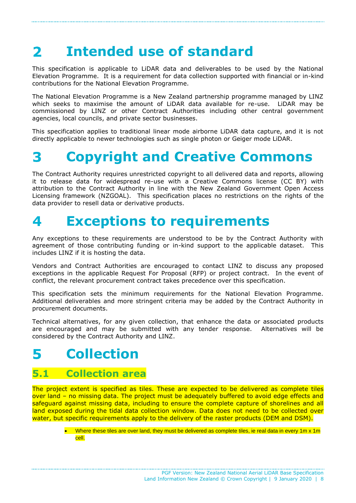#### <span id="page-7-0"></span>**Intended use of standard**  $\mathbf{z}$

This specification is applicable to LiDAR data and deliverables to be used by the National Elevation Programme. It is a requirement for data collection supported with financial or in-kind contributions for the National Elevation Programme.

The National Elevation Programme is a New Zealand partnership programme managed by LINZ which seeks to maximise the amount of LiDAR data available for re-use. LiDAR may be commissioned by LINZ or other Contract Authorities including other central government agencies, local councils, and private sector businesses.

This specification applies to traditional linear mode airborne LiDAR data capture, and it is not directly applicable to newer technologies such as single photon or Geiger mode LiDAR.

#### <span id="page-7-1"></span>**Copyright and Creative Commons** B

The Contract Authority requires unrestricted copyright to all delivered data and reports, allowing it to release data for widespread re-use with a Creative Commons license (CC BY) with attribution to the Contract Authority in line with the New Zealand Government Open Access Licensing framework (NZGOAL). This specification places no restrictions on the rights of the data provider to resell data or derivative products.

#### <span id="page-7-2"></span>**Exceptions to requirements**  $\blacktriangle$

Any exceptions to these requirements are understood to be by the Contract Authority with agreement of those contributing funding or in-kind support to the applicable dataset. This includes LINZ if it is hosting the data.

Vendors and Contract Authorities are encouraged to contact LINZ to discuss any proposed exceptions in the applicable Request For Proposal (RFP) or project contract. In the event of conflict, the relevant procurement contract takes precedence over this specification.

This specification sets the minimum requirements for the National Elevation Programme. Additional deliverables and more stringent criteria may be added by the Contract Authority in procurement documents.

Technical alternatives, for any given collection, that enhance the data or associated products are encouraged and may be submitted with any tender response. Alternatives will be considered by the Contract Authority and LINZ.

#### <span id="page-7-3"></span>**Collection** 5

### <span id="page-7-4"></span>**5.1 Collection area**

The project extent is specified as tiles. These are expected to be delivered as complete tiles over land – no missing data. The project must be adequately buffered to avoid edge effects and safeguard against missing data, including to ensure the complete capture of shorelines and all land exposed during the tidal data collection window. Data does not need to be collected over water, but specific requirements apply to the delivery of the raster products (DEM and DSM).

> • Where these tiles are over land, they must be delivered as complete tiles, ie real data in every 1m x 1m cell.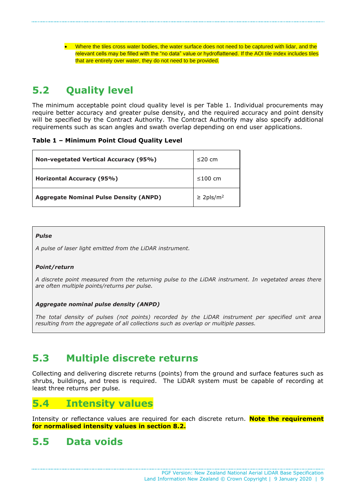• Where the tiles cross water bodies, the water surface does not need to be captured with lidar, and the relevant cells may be filled with the "no data" value or hydroflattened. If the AOI tile index includes tiles that are entirely over water, they do not need to be provided.

# <span id="page-8-0"></span>**5.2 Quality level**

The minimum acceptable point cloud quality level is per Table 1. Individual procurements may require better accuracy and greater pulse density, and the required accuracy and point density will be specified by the Contract Authority. The Contract Authority may also specify additional requirements such as scan angles and swath overlap depending on end user applications.

#### **Table 1 – Minimum Point Cloud Quality Level**

| <b>Non-vegetated Vertical Accuracy (95%)</b>  | $\leq$ 20 cm               |
|-----------------------------------------------|----------------------------|
| Horizontal Accuracy (95%)                     | $\leq 100$ cm              |
| <b>Aggregate Nominal Pulse Density (ANPD)</b> | $\geq$ 2pls/m <sup>2</sup> |

#### *Pulse*

*A pulse of laser light emitted from the LiDAR instrument.* 

#### *Point/return*

*A discrete point measured from the returning pulse to the LiDAR instrument. In vegetated areas there are often multiple points/returns per pulse.*

#### *Aggregate nominal pulse density (ANPD)*

*The total density of pulses (not points) recorded by the LiDAR instrument per specified unit area resulting from the aggregate of all collections such as overlap or multiple passes.*

## <span id="page-8-1"></span>**5.3 Multiple discrete returns**

Collecting and delivering discrete returns (points) from the ground and surface features such as shrubs, buildings, and trees is required. The LiDAR system must be capable of recording at least three returns per pulse.

### <span id="page-8-2"></span>**5.4 Intensity values**

Intensity or reflectance values are required for each discrete return. **Note the requirement for normalised intensity values in section 8.2.**

### <span id="page-8-3"></span>**5.5 Data voids**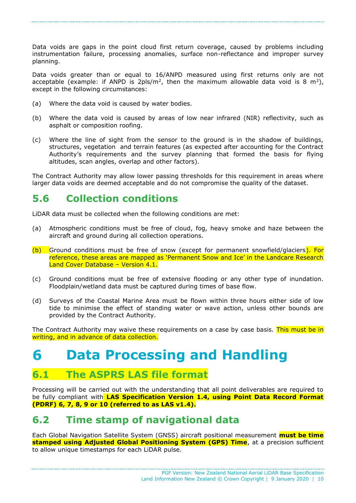Data voids are gaps in the point cloud first return coverage, caused by problems including instrumentation failure, processing anomalies, surface non-reflectance and improper survey planning.

Data voids greater than or equal to 16/ANPD measured using first returns only are not acceptable (example: if ANPD is 2pls/m<sup>2</sup>, then the maximum allowable data void is 8 m<sup>2</sup>), except in the following circumstances:

- (a) Where the data void is caused by water bodies.
- (b) Where the data void is caused by areas of low near infrared (NIR) reflectivity, such as asphalt or composition roofing.
- (c) Where the line of sight from the sensor to the ground is in the shadow of buildings, structures, vegetation and terrain features (as expected after accounting for the Contract Authority's requirements and the survey planning that formed the basis for flying altitudes, scan angles, overlap and other factors).

The Contract Authority may allow lower passing thresholds for this requirement in areas where larger data voids are deemed acceptable and do not compromise the quality of the dataset.

### <span id="page-9-0"></span>**5.6 Collection conditions**

LiDAR data must be collected when the following conditions are met:

- (a) Atmospheric conditions must be free of cloud, fog, heavy smoke and haze between the aircraft and ground during all collection operations.
- (b) Ground conditions must be free of snow (except for permanent snowfield/glaciers). For reference, these areas are mapped as 'Permanent Snow and Ice' in the Landcare Research Land Cover Database – Version 4.1.
- (c) Ground conditions must be free of extensive flooding or any other type of inundation. Floodplain/wetland data must be captured during times of base flow.
- (d) Surveys of the Coastal Marine Area must be flown within three hours either side of low tide to minimise the effect of standing water or wave action, unless other bounds are provided by the Contract Authority.

The Contract Authority may waive these requirements on a case by case basis. This must be in writing, and in advance of data collection.

#### <span id="page-9-1"></span>**Data Processing and Handling** 6

### <span id="page-9-2"></span>**6.1 The ASPRS LAS file format**

Processing will be carried out with the understanding that all point deliverables are required to be fully compliant with **LAS Specification Version 1.4, using Point Data Record Format (PDRF) 6, 7, 8, 9 or 10 (referred to as LAS v1.4).**

### <span id="page-9-3"></span>**6.2 Time stamp of navigational data**

Each Global Navigation Satellite System (GNSS) aircraft positional measurement **must be time stamped using Adjusted Global Positioning System (GPS) Time**, at a precision sufficient to allow unique timestamps for each LiDAR pulse.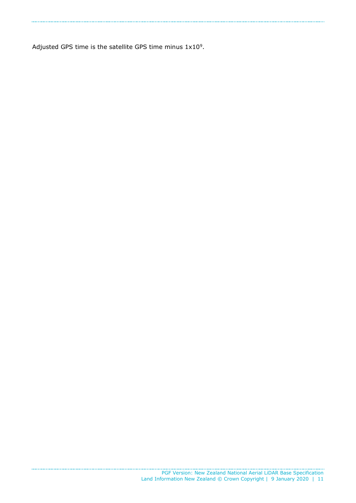Adjusted GPS time is the satellite GPS time minus  $1x10<sup>9</sup>$ .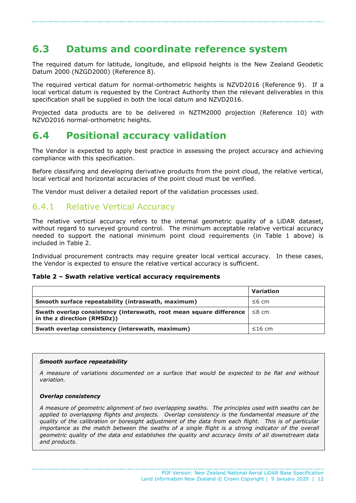### <span id="page-11-0"></span>**6.3 Datums and coordinate reference system**

The required datum for latitude, longitude, and ellipsoid heights is the New Zealand Geodetic Datum 2000 (NZGD2000) (Reference 8).

The required vertical datum for normal-orthometric heights is NZVD2016 (Reference 9). If a local vertical datum is requested by the Contract Authority then the relevant deliverables in this specification shall be supplied in both the local datum and NZVD2016.

Projected data products are to be delivered in NZTM2000 projection (Reference 10) with NZVD2016 normal-orthometric heights.

### <span id="page-11-1"></span>**6.4 Positional accuracy validation**

The Vendor is expected to apply best practice in assessing the project accuracy and achieving compliance with this specification.

Before classifying and developing derivative products from the point cloud, the relative vertical, local vertical and horizontal accuracies of the point cloud must be verified.

The Vendor must deliver a detailed report of the validation processes used.

### <span id="page-11-2"></span>6.4.1 Relative Vertical Accuracy

The relative vertical accuracy refers to the internal geometric quality of a LiDAR dataset, without regard to surveyed ground control. The minimum acceptable relative vertical accuracy needed to support the national minimum point cloud requirements (in Table 1 above) is included in Table 2.

Individual procurement contracts may require greater local vertical accuracy. In these cases, the Vendor is expected to ensure the relative vertical accuracy is sufficient.

#### **Table 2 – Swath relative vertical accuracy requirements**

|                                                                                                   | Variation    |
|---------------------------------------------------------------------------------------------------|--------------|
| Smooth surface repeatability (intraswath, maximum)                                                | $\leq 6$ cm  |
| Swath overlap consistency (interswath, root mean square difference<br>in the z direction (RMSDz)) | $\leq$ 8 cm  |
| Swath overlap consistency (interswath, maximum)                                                   | $\leq$ 16 cm |

#### *Smooth surface repeatability*

*A measure of variations documented on a surface that would be expected to be flat and without variation.* 

#### *Overlap consistency*

*A measure of geometric alignment of two overlapping swaths. The principles used with swaths can be applied to overlapping flights and projects. Overlap consistency is the fundamental measure of the quality of the calibration or boresight adjustment of the data from each flight. This is of particular importance as the match between the swaths of a single flight is a strong indicator of the overall geometric quality of the data and establishes the quality and accuracy limits of all downstream data and products.*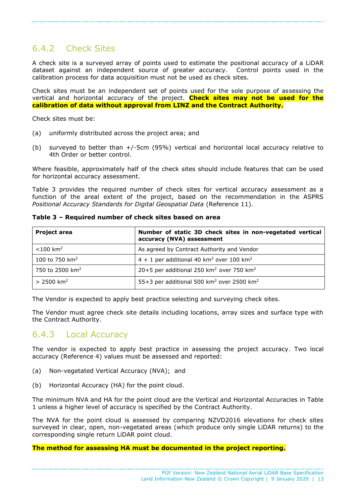### <span id="page-12-0"></span>6.4.2 Check Sites

A check site is a surveyed array of points used to estimate the positional accuracy of a LiDAR dataset against an independent source of greater accuracy. Control points used in the calibration process for data acquisition must not be used as check sites.

Check sites must be an independent set of points used for the sole purpose of assessing the vertical and horizontal accuracy of the project. **Check sites may not be used for the calibration of data without approval from LINZ and the Contract Authority.**

Check sites must be:

- (a) uniformly distributed across the project area; and
- (b) surveyed to better than +/-5cm (95%) vertical and horizontal local accuracy relative to 4th Order or better control.

Where feasible, approximately half of the check sites should include features that can be used for horizontal accuracy assessment.

Table 3 provides the required number of check sites for vertical accuracy assessment as a function of the areal extent of the project, based on the recommendation in the ASPRS *Positional Accuracy Standards for Digital Geospatial Data* (Reference 11).

| <b>Project area</b>         | Number of static 3D check sites in non-vegetated vertical<br>accuracy (NVA) assessment |
|-----------------------------|----------------------------------------------------------------------------------------|
| $< 100$ km <sup>2</sup>     | As agreed by Contract Authority and Vendor                                             |
| 100 to 750 $km^2$           | $4 + 1$ per additional 40 km <sup>2</sup> over 100 km <sup>2</sup>                     |
| 750 to 2500 km <sup>2</sup> | 20+5 per additional 250 km <sup>2</sup> over 750 km <sup>2</sup>                       |
| $> 2500$ km <sup>2</sup>    | 55+3 per additional 500 km <sup>2</sup> over 2500 km <sup>2</sup>                      |

**Table 3 – Required number of check sites based on area**

The Vendor is expected to apply best practice selecting and surveying check sites.

The Vendor must agree check site details including locations, array sizes and surface type with the Contract Authority.

### <span id="page-12-1"></span>6.4.3 Local Accuracy

The vendor is expected to apply best practice in assessing the project accuracy. Two local accuracy (Reference 4) values must be assessed and reported:

- (a) Non-vegetated Vertical Accuracy (NVA); and
- (b) Horizontal Accuracy (HA) for the point cloud.

The minimum NVA and HA for the point cloud are the Vertical and Horizontal Accuracies in Table 1 unless a higher level of accuracy is specified by the Contract Authority.

The NVA for the point cloud is assessed by comparing NZVD2016 elevations for check sites surveyed in clear, open, non-vegetated areas (which produce only single LiDAR returns) to the corresponding single return LiDAR point cloud.

#### **The method for assessing HA must be documented in the project reporting.**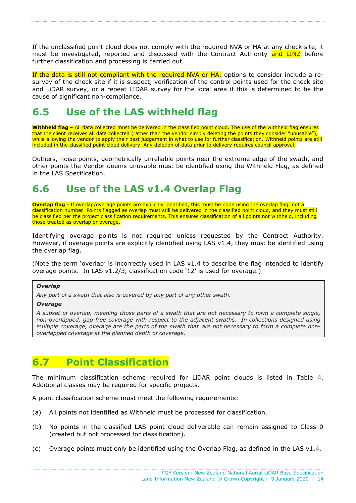If the unclassified point cloud does not comply with the required NVA or HA at any check site, it must be investigated, reported and discussed with the Contract Authority and LINZ before further classification and processing is carried out.

If the data is still not compliant with the required NVA or HA, options to consider include a resurvey of the check site if it is suspect, verification of the control points used for the check site and LiDAR survey, or a repeat LIDAR survey for the local area if this is determined to be the cause of significant non-compliance.

## <span id="page-13-0"></span>**6.5 Use of the LAS withheld flag**

**Withheld flag** – All data collected must be delivered in the classified point cloud. The use of the withheld flag ensures that the client receives all data collected (rather than the vendor simply deleting the points they consider "unusable"), while allowing the vendor to apply their best judgement in what to use for further classification. Withheld points are still included in the classified point cloud delivery. Any deletion of data prior to delivery requires council approval.

Outliers, noise points, geometrically unreliable points near the extreme edge of the swath, and other points the Vendor deems unusable must be identified using the Withheld Flag, as defined in the LAS Specification.

# <span id="page-13-1"></span>**6.6 Use of the LAS v1.4 Overlap Flag**

**Overlap flag** - If overlap/overage points are explicitly identified, this must be done using the overlap flag, not a classification number. Points flagged as overlap must still be delivered in the classified point cloud, and they must still be classified per the project classification requirements. This ensures classification of all points not withheld, including those treated as overlap or overage.

Identifying overage points is not required unless requested by the Contract Authority. However, if overage points are explicitly identified using LAS  $v1.4$ , they must be identified using the overlap flag.

(Note the term 'overlap' is incorrectly used in LAS v1.4 to describe the flag intended to identify overage points. In LAS v1.2/3, classification code '12' is used for overage.)

#### *Overlap*

*Any part of a swath that also is covered by any part of any other swath.*

#### *Overage*

*A subset of overlap, meaning those parts of a swath that are not necessary to form a complete single, non-overlapped, gap-free coverage with respect to the adjacent swaths. In collections designed using* multiple coverage, overage are the parts of the swath that are not necessary to form a complete non*overlapped coverage at the planned depth of coverage.*

## <span id="page-13-2"></span>**6.7 Point Classification**

The minimum classification scheme required for LiDAR point clouds is listed in Table 4. Additional classes may be required for specific projects.

A point classification scheme must meet the following requirements:

- (a) All points not identified as Withheld must be processed for classification.
- (b) No points in the classified LAS point cloud deliverable can remain assigned to Class 0 (created but not processed for classification).
- (c) Overage points must only be identified using the Overlap Flag, as defined in the LAS v1.4.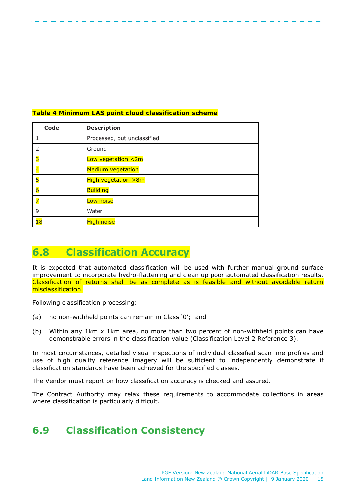| Code           | <b>Description</b>          |
|----------------|-----------------------------|
|                | Processed, but unclassified |
| 2              | Ground                      |
| R              | Low vegetation $\leq 2m$    |
| $\overline{4}$ | <b>Medium vegetation</b>    |
| $\overline{5}$ | High vegetation $>8m$       |
| $\overline{6}$ | <b>Building</b>             |
| $\overline{7}$ | Low noise                   |
| 9              | Water                       |
| 18             | <b>High noise</b>           |

#### **Table 4 Minimum LAS point cloud classification scheme**

## <span id="page-14-0"></span>**6.8 Classification Accuracy**

It is expected that automated classification will be used with further manual ground surface improvement to incorporate hydro-flattening and clean up poor automated classification results. Classification of returns shall be as complete as is feasible and without avoidable return misclassification.

Following classification processing:

- (a) no non-withheld points can remain in Class '0'; and
- (b) Within any 1km x 1km area, no more than two percent of non-withheld points can have demonstrable errors in the classification value (Classification Level 2 Reference 3).

In most circumstances, detailed visual inspections of individual classified scan line profiles and use of high quality reference imagery will be sufficient to independently demonstrate if classification standards have been achieved for the specified classes.

The Vendor must report on how classification accuracy is checked and assured.

The Contract Authority may relax these requirements to accommodate collections in areas where classification is particularly difficult.

# <span id="page-14-1"></span>**6.9 Classification Consistency**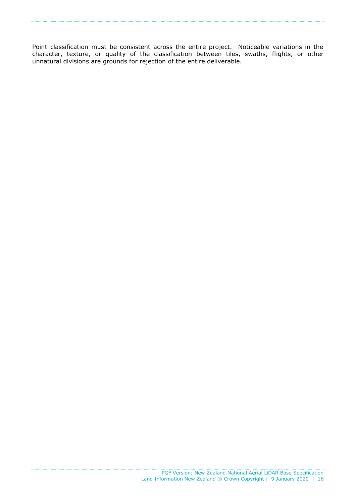Point classification must be consistent across the entire project. Noticeable variations in the character, texture, or quality of the classification between tiles, swaths, flights, or other unnatural divisions are grounds for rejection of the entire deliverable.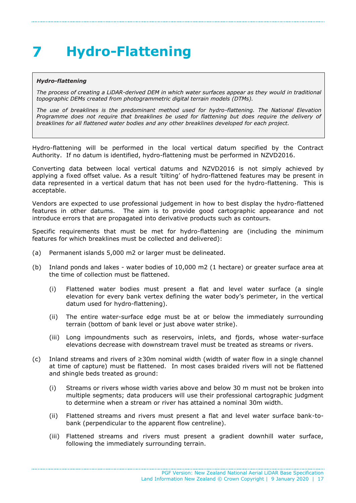# <span id="page-16-0"></span>**Hydro-Flattening**

#### *Hydro-flattening*

The process of creating a LiDAR-derived DEM in which water surfaces appear as they would in traditional *topographic DEMs created from photogrammetric digital terrain models (DTMs).* 

*The use of breaklines is the predominant method used for hydro-flattening. The National Elevation*  Programme does not require that breaklines be used for flattening but does require the delivery of *breaklines for all flattened water bodies and any other breaklines developed for each project.* 

Hydro-flattening will be performed in the local vertical datum specified by the Contract Authority. If no datum is identified, hydro-flattening must be performed in NZVD2016.

Converting data between local vertical datums and NZVD2016 is not simply achieved by applying a fixed offset value. As a result 'tilting' of hydro-flattened features may be present in data represented in a vertical datum that has not been used for the hydro-flattening. This is acceptable.

Vendors are expected to use professional judgement in how to best display the hydro-flattened features in other datums. The aim is to provide good cartographic appearance and not introduce errors that are propagated into derivative products such as contours.

Specific requirements that must be met for hydro-flattening are (including the minimum features for which breaklines must be collected and delivered):

- (a) Permanent islands 5,000 m2 or larger must be delineated.
- (b) Inland ponds and lakes water bodies of 10,000 m2 (1 hectare) or greater surface area at the time of collection must be flattened.
	- (i) Flattened water bodies must present a flat and level water surface (a single elevation for every bank vertex defining the water body's perimeter, in the vertical datum used for hydro-flattening).
	- (ii) The entire water-surface edge must be at or below the immediately surrounding terrain (bottom of bank level or just above water strike).
	- (iii) Long impoundments such as reservoirs, inlets, and fjords, whose water-surface elevations decrease with downstream travel must be treated as streams or rivers.
- (c) Inland streams and rivers of ≥30m nominal width (width of water flow in a single channel at time of capture) must be flattened. In most cases braided rivers will not be flattened and shingle beds treated as ground:
	- (i) Streams or rivers whose width varies above and below 30 m must not be broken into multiple segments; data producers will use their professional cartographic judgment to determine when a stream or river has attained a nominal 30m width.
	- (ii) Flattened streams and rivers must present a flat and level water surface bank-tobank (perpendicular to the apparent flow centreline).
	- (iii) Flattened streams and rivers must present a gradient downhill water surface, following the immediately surrounding terrain.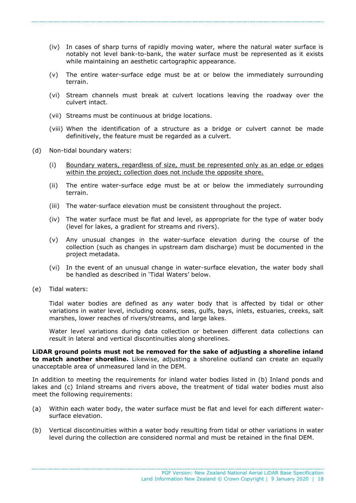- (iv) In cases of sharp turns of rapidly moving water, where the natural water surface is notably not level bank-to-bank, the water surface must be represented as it exists while maintaining an aesthetic cartographic appearance.
- (v) The entire water-surface edge must be at or below the immediately surrounding terrain.
- (vi) Stream channels must break at culvert locations leaving the roadway over the culvert intact.
- (vii) Streams must be continuous at bridge locations.
- (viii) When the identification of a structure as a bridge or culvert cannot be made definitively, the feature must be regarded as a culvert.
- (d) Non-tidal boundary waters:
	- (i) Boundary waters, regardless of size, must be represented only as an edge or edges within the project; collection does not include the opposite shore.
	- (ii) The entire water-surface edge must be at or below the immediately surrounding terrain.
	- (iii) The water-surface elevation must be consistent throughout the project.
	- (iv) The water surface must be flat and level, as appropriate for the type of water body (level for lakes, a gradient for streams and rivers).
	- (v) Any unusual changes in the water-surface elevation during the course of the collection (such as changes in upstream dam discharge) must be documented in the project metadata.
	- (vi) In the event of an unusual change in water-surface elevation, the water body shall be handled as described in 'Tidal Waters' below.
- (e) Tidal waters:

Tidal water bodies are defined as any water body that is affected by tidal or other variations in water level, including oceans, seas, gulfs, bays, inlets, estuaries, creeks, salt marshes, lower reaches of rivers/streams, and large lakes.

Water level variations during data collection or between different data collections can result in lateral and vertical discontinuities along shorelines.

**LiDAR ground points must not be removed for the sake of adjusting a shoreline inland to match another shoreline.** Likewise, adjusting a shoreline outland can create an equally unacceptable area of unmeasured land in the DEM.

In addition to meeting the requirements for inland water bodies listed in (b) Inland ponds and lakes and (c) Inland streams and rivers above, the treatment of tidal water bodies must also meet the following requirements:

- (a) Within each water body, the water surface must be flat and level for each different watersurface elevation.
- (b) Vertical discontinuities within a water body resulting from tidal or other variations in water level during the collection are considered normal and must be retained in the final DEM.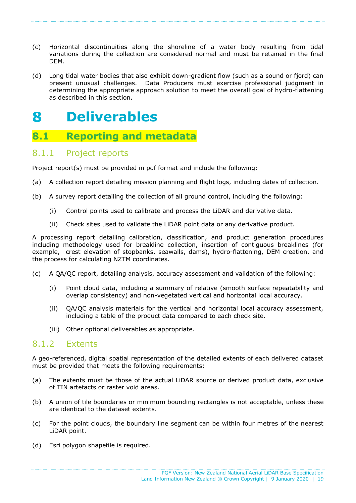- (c) Horizontal discontinuities along the shoreline of a water body resulting from tidal variations during the collection are considered normal and must be retained in the final DEM.
- (d) Long tidal water bodies that also exhibit down-gradient flow (such as a sound or fjord) can present unusual challenges. Data Producers must exercise professional judgment in determining the appropriate approach solution to meet the overall goal of hydro-flattening as described in this section.

#### <span id="page-18-0"></span>**Deliverables** 8

### <span id="page-18-1"></span>**8.1 Reporting and metadata**

### <span id="page-18-2"></span>8.1.1 Project reports

Project report(s) must be provided in pdf format and include the following:

- (a) A collection report detailing mission planning and flight logs, including dates of collection.
- (b) A survey report detailing the collection of all ground control, including the following:
	- (i) Control points used to calibrate and process the LiDAR and derivative data.
	- (ii) Check sites used to validate the LiDAR point data or any derivative product.

A processing report detailing calibration, classification, and product generation procedures including methodology used for breakline collection, insertion of contiguous breaklines (for example, crest elevation of stopbanks, seawalls, dams), hydro-flattening, DEM creation, and the process for calculating NZTM coordinates.

- (c) A QA/QC report, detailing analysis, accuracy assessment and validation of the following:
	- (i) Point cloud data, including a summary of relative (smooth surface repeatability and overlap consistency) and non-vegetated vertical and horizontal local accuracy.
	- (ii) QA/QC analysis materials for the vertical and horizontal local accuracy assessment, including a table of the product data compared to each check site.
	- (iii) Other optional deliverables as appropriate.

### <span id="page-18-3"></span>8.1.2 Extents

A geo-referenced, digital spatial representation of the detailed extents of each delivered dataset must be provided that meets the following requirements:

- (a) The extents must be those of the actual LiDAR source or derived product data, exclusive of TIN artefacts or raster void areas.
- (b) A union of tile boundaries or minimum bounding rectangles is not acceptable, unless these are identical to the dataset extents.
- (c) For the point clouds, the boundary line segment can be within four metres of the nearest LiDAR point.
- (d) Esri polygon shapefile is required.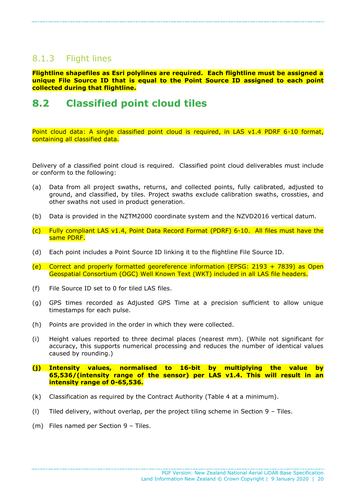### <span id="page-19-0"></span>8.1.3 Flight lines

**Flightline shapefiles as Esri polylines are required. Each flightline must be assigned a unique File Source ID that is equal to the Point Source ID assigned to each point collected during that flightline.**

### <span id="page-19-1"></span>**8.2 Classified point cloud tiles**

Point cloud data: A single classified point cloud is required, in LAS v1.4 PDRF 6-10 format, containing all classified data.

Delivery of a classified point cloud is required. Classified point cloud deliverables must include or conform to the following:

- (a) Data from all project swaths, returns, and collected points, fully calibrated, adjusted to ground, and classified, by tiles. Project swaths exclude calibration swaths, crossties, and other swaths not used in product generation.
- (b) Data is provided in the NZTM2000 coordinate system and the NZVD2016 vertical datum.
- (c) Fully compliant LAS v1.4, Point Data Record Format (PDRF) 6-10. All files must have the same PDRF.
- (d) Each point includes a Point Source ID linking it to the flightline File Source ID.
- (e) Correct and properly formatted georeference information (EPSG: 2193 + 7839) as Open Geospatial Consortium (OGC) Well Known Text (WKT) included in all LAS file headers.
- (f) File Source ID set to 0 for tiled LAS files.
- (g) GPS times recorded as Adjusted GPS Time at a precision sufficient to allow unique timestamps for each pulse.
- (h) Points are provided in the order in which they were collected.
- (i) Height values reported to three decimal places (nearest mm). (While not significant for accuracy, this supports numerical processing and reduces the number of identical values caused by rounding.)
- **(j) Intensity values, normalised to 16-bit by multiplying the value by 65,536/(intensity range of the sensor) per LAS v1.4. This will result in an intensity range of 0-65,536.**
- (k) Classification as required by the Contract Authority (Table 4 at a minimum).
- (l) Tiled delivery, without overlap, per the project tiling scheme in Section 9 Tiles.
- (m) Files named per Section 9 Tiles.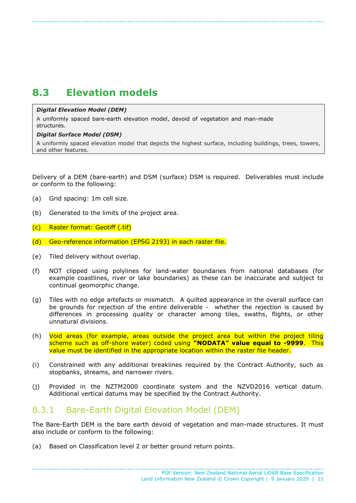# <span id="page-20-0"></span>**8.3 Elevation models**

#### *Digital Elevation Model (DEM)*

A uniformly spaced bare-earth elevation model, devoid of vegetation and man-made structures.

#### *Digital Surface Model (DSM)*

A uniformly spaced elevation model that depicts the highest surface, including buildings, trees, towers, and other features.

Delivery of a DEM (bare-earth) and DSM (surface) DSM is required. Deliverables must include or conform to the following:

- (a) Grid spacing: 1m cell size.
- (b) Generated to the limits of the project area.
- (c) Raster format: Geotiff (.tif)
- (d) Geo-reference information (EPSG 2193) in each raster file.
- (e) Tiled delivery without overlap.
- (f) NOT clipped using polylines for land-water boundaries from national databases (for example coastlines, river or lake boundaries) as these can be inaccurate and subject to continual geomorphic change.
- (g) Tiles with no edge artefacts or mismatch. A quilted appearance in the overall surface can be grounds for rejection of the entire deliverable - whether the rejection is caused by differences in processing quality or character among tiles, swaths, flights, or other unnatural divisions.
- (h) Void areas (for example, areas outside the project area but within the project tiling scheme such as off-shore water) coded using **"NODATA" value equal to -9999**. This value must be identified in the appropriate location within the raster file header.
- (i) Constrained with any additional breaklines required by the Contract Authority, such as stopbanks, streams, and narrower rivers.
- (j) Provided in the NZTM2000 coordinate system and the NZVD2016 vertical datum. Additional vertical datums may be specified by the Contract Authority.

### <span id="page-20-1"></span>8.3.1 Bare-Earth Digital Elevation Model (DEM)

The Bare-Earth DEM is the bare earth devoid of vegetation and man-made structures. It must also include or conform to the following:

(a) Based on Classification level 2 or better ground return points.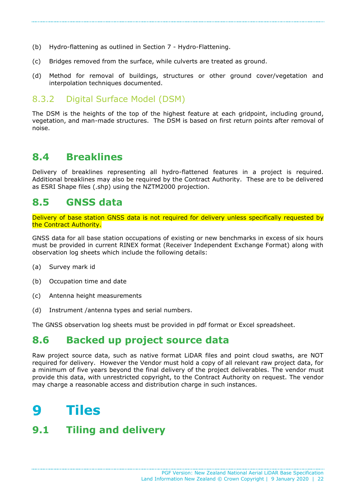- (b) Hydro-flattening as outlined in Section 7 Hydro-Flattening.
- (c) Bridges removed from the surface, while culverts are treated as ground.
- (d) Method for removal of buildings, structures or other ground cover/vegetation and interpolation techniques documented.

### <span id="page-21-0"></span>8.3.2 Digital Surface Model (DSM)

The DSM is the heights of the top of the highest feature at each gridpoint, including ground, vegetation, and man-made structures. The DSM is based on first return points after removal of noise.

### <span id="page-21-1"></span>**8.4 Breaklines**

Delivery of breaklines representing all hydro-flattened features in a project is required. Additional breaklines may also be required by the Contract Authority. These are to be delivered as ESRI Shape files (.shp) using the NZTM2000 projection.

### <span id="page-21-2"></span>**8.5 GNSS data**

Delivery of base station GNSS data is not required for delivery unless specifically requested by the Contract Authority.

GNSS data for all base station occupations of existing or new benchmarks in excess of six hours must be provided in current RINEX format (Receiver Independent Exchange Format) along with observation log sheets which include the following details:

- (a) Survey mark id
- (b) Occupation time and date
- (c) Antenna height measurements
- (d) Instrument /antenna types and serial numbers.

The GNSS observation log sheets must be provided in pdf format or Excel spreadsheet.

### <span id="page-21-3"></span>**8.6 Backed up project source data**

Raw project source data, such as native format LiDAR files and point cloud swaths, are NOT required for delivery. However the Vendor must hold a copy of all relevant raw project data, for a minimum of five years beyond the final delivery of the project deliverables. The vendor must provide this data, with unrestricted copyright, to the Contract Authority on request. The vendor may charge a reasonable access and distribution charge in such instances.

#### <span id="page-21-4"></span>**Tiles** Q

### <span id="page-21-5"></span>**9.1 Tiling and delivery**